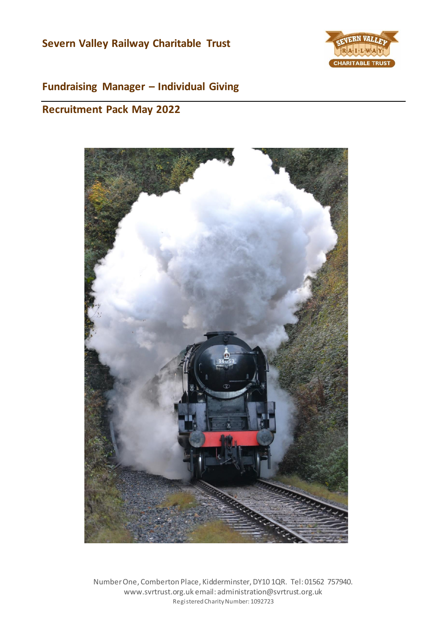

# **Fundraising Manager – Individual Giving**

# **Recruitment Pack May 2022**



Number One, Comberton Place, Kidderminster, DY10 1QR. Tel: 01562 757940. [www.svrtrust.org.uk](http://www.svrtrust.org.uk/) email: administration@svrtrust.org.uk Registered Charity Number: 1092723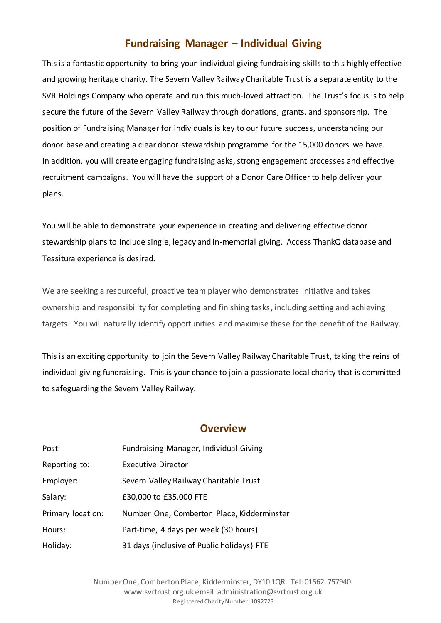# **Fundraising Manager – Individual Giving**

This is a fantastic opportunity to bring your individual giving fundraising skills to this highly effective and growing heritage charity. The Severn Valley Railway Charitable Trust is a separate entity to the SVR Holdings Company who operate and run this much-loved attraction. The Trust's focus is to help secure the future of the Severn Valley Railway through donations, grants, and sponsorship. The position of Fundraising Manager for individuals is key to our future success, understanding our donor base and creating a clear donor stewardship programme for the 15,000 donors we have. In addition, you will create engaging fundraising asks, strong engagement processes and effective recruitment campaigns. You will have the support of a Donor Care Officer to help deliver your plans.

You will be able to demonstrate your experience in creating and delivering effective donor stewardship plans to include single, legacy and in-memorial giving. Access ThankQ database and Tessitura experience is desired.

We are seeking a resourceful, proactive team player who demonstrates initiative and takes ownership and responsibility for completing and finishing tasks, including setting and achieving targets. You will naturally identify opportunities and maximise these for the benefit of the Railway.

This is an exciting opportunity to join the Severn Valley Railway Charitable Trust, taking the reins of individual giving fundraising. This is your chance to join a passionate local charity that is committed to safeguarding the Severn Valley Railway.

# **Overview**

| Post:             | Fundraising Manager, Individual Giving     |
|-------------------|--------------------------------------------|
| Reporting to:     | <b>Executive Director</b>                  |
| Employer:         | Severn Valley Railway Charitable Trust     |
| Salary:           | £30,000 to £35.000 FTE                     |
| Primary location: | Number One, Comberton Place, Kidderminster |
| Hours:            | Part-time, 4 days per week (30 hours)      |
| Holiday:          | 31 days (inclusive of Public holidays) FTE |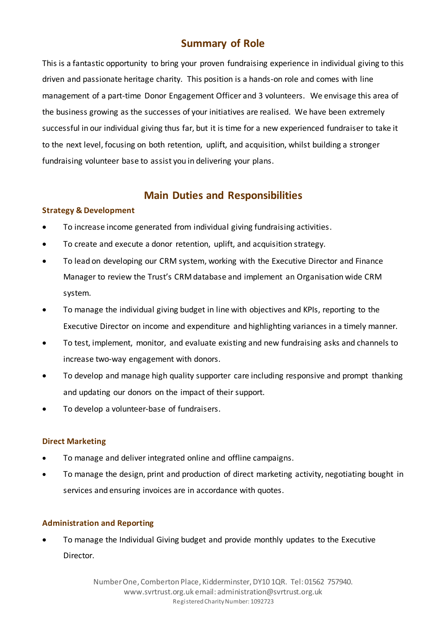# **Summary of Role**

This is a fantastic opportunity to bring your proven fundraising experience in individual giving to this driven and passionate heritage charity. This position is a hands-on role and comes with line management of a part-time Donor Engagement Officer and 3 volunteers. We envisage this area of the business growing as the successes of your initiatives are realised. We have been extremely successful in our individual giving thus far, but it is time for a new experienced fundraiser to take it to the next level, focusing on both retention, uplift, and acquisition, whilst building a stronger fundraising volunteer base to assist you in delivering your plans.

# **Main Duties and Responsibilities**

### **Strategy & Development**

- To increase income generated from individual giving fundraising activities.
- To create and execute a donor retention, uplift, and acquisition strategy.
- To lead on developing our CRM system, working with the Executive Director and Finance Manager to review the Trust's CRM database and implement an Organisation wide CRM system.
- To manage the individual giving budget in line with objectives and KPIs, reporting to the Executive Director on income and expenditure and highlighting variances in a timely manner.
- To test, implement, monitor, and evaluate existing and new fundraising asks and channels to increase two-way engagement with donors.
- To develop and manage high quality supporter care including responsive and prompt thanking and updating our donors on the impact of their support.
- To develop a volunteer-base of fundraisers.

#### **Direct Marketing**

- To manage and deliver integrated online and offline campaigns.
- To manage the design, print and production of direct marketing activity, negotiating bought in services and ensuring invoices are in accordance with quotes.

#### **Administration and Reporting**

 To manage the Individual Giving budget and provide monthly updates to the Executive Director.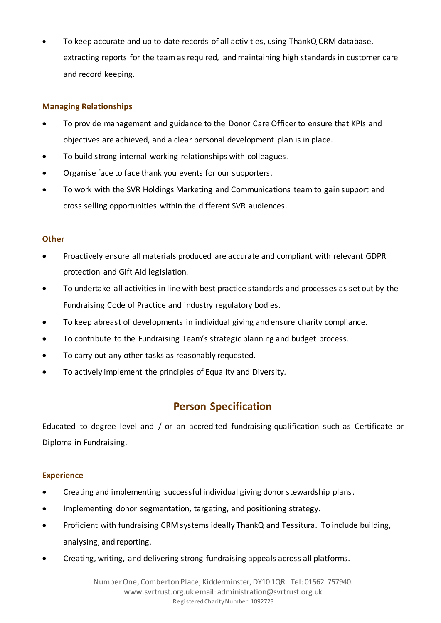To keep accurate and up to date records of all activities, using ThankQ CRM database, extracting reports for the team as required, and maintaining high standards in customer care and record keeping.

## **Managing Relationships**

- To provide management and guidance to the Donor Care Officer to ensure that KPIs and objectives are achieved, and a clear personal development plan is in place.
- To build strong internal working relationships with colleagues.
- Organise face to face thank you events for our supporters.
- To work with the SVR Holdings Marketing and Communications team to gain support and cross selling opportunities within the different SVR audiences.

### **Other**

- Proactively ensure all materials produced are accurate and compliant with relevant GDPR protection and Gift Aid legislation.
- To undertake all activities in line with best practice standards and processes as set out by the Fundraising Code of Practice and industry regulatory bodies.
- To keep abreast of developments in individual giving and ensure charity compliance.
- To contribute to the Fundraising Team's strategic planning and budget process.
- To carry out any other tasks as reasonably requested.
- To actively implement the principles of Equality and Diversity.

# **Person Specification**

Educated to degree level and / or an accredited fundraising qualification such as Certificate or Diploma in Fundraising.

### **Experience**

- Creating and implementing successful individual giving donor stewardship plans.
- Implementing donor segmentation, targeting, and positioning strategy.
- Proficient with fundraising CRM systems ideally ThankQ and Tessitura. To include building, analysing, and reporting.
- Creating, writing, and delivering strong fundraising appeals across all platforms.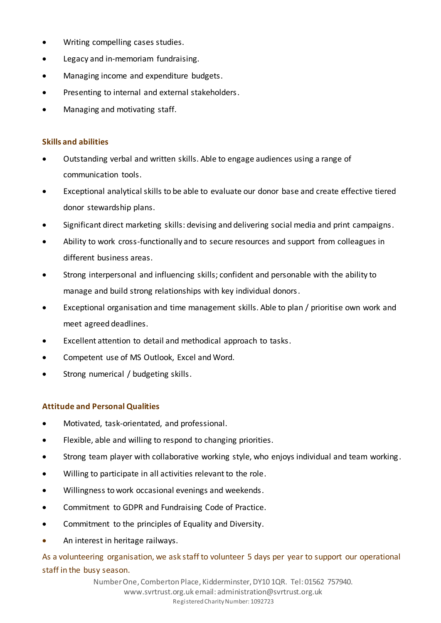- Writing compelling cases studies.
- Legacy and in-memoriam fundraising.
- Managing income and expenditure budgets.
- Presenting to internal and external stakeholders.
- Managing and motivating staff.

### **Skills and abilities**

- Outstanding verbal and written skills. Able to engage audiences using a range of communication tools.
- Exceptional analytical skills to be able to evaluate our donor base and create effective tiered donor stewardship plans.
- Significant direct marketing skills: devising and delivering social media and print campaigns.
- Ability to work cross-functionally and to secure resources and support from colleagues in different business areas.
- Strong interpersonal and influencing skills; confident and personable with the ability to manage and build strong relationships with key individual donors.
- Exceptional organisation and time management skills. Able to plan / prioritise own work and meet agreed deadlines.
- Excellent attention to detail and methodical approach to tasks.
- Competent use of MS Outlook, Excel and Word.
- Strong numerical / budgeting skills.

### **Attitude and Personal Qualities**

- Motivated, task-orientated, and professional.
- Flexible, able and willing to respond to changing priorities.
- Strong team player with collaborative working style, who enjoys individual and team working.
- Willing to participate in all activities relevant to the role.
- Willingness to work occasional evenings and weekends.
- Commitment to GDPR and Fundraising Code of Practice.
- Commitment to the principles of Equality and Diversity.
- An interest in heritage railways.

As a volunteering organisation, we ask staff to volunteer 5 days per year to support our operational staff in the busy season.

> Number One, Comberton Place, Kidderminster, DY10 1QR. Tel: 01562 757940. [www.svrtrust.org.uk](http://www.svrtrust.org.uk/) email: administration@svrtrust.org.uk Registered Charity Number: 1092723